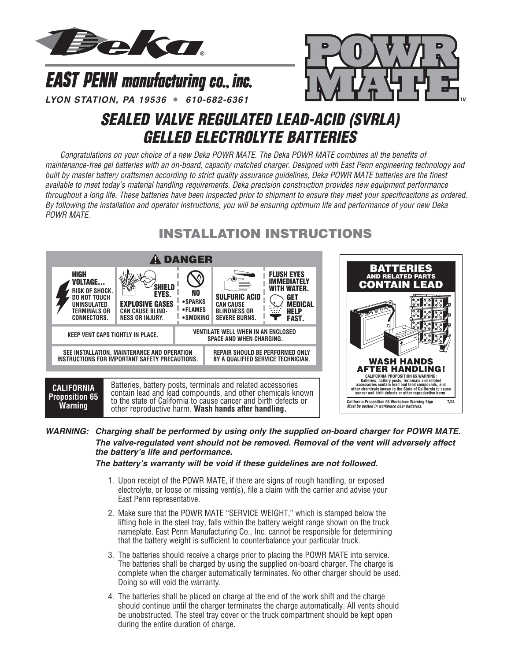



*LYON STATION, PA 19536* **•** *610-682-6361*

**EAST PENN manufacturing co., inc.** 

# *SEALED VALVE REGULATED LEAD-ACID (SVRLA) GELLED ELECTROLYTE BATTERIES*

*Congratulations on your choice of a new Deka POWR MATE. The Deka POWR MATE combines all the benefits of maintenance-free gel batteries with an on-board, capacity matched charger. Designed with East Penn engineering technology and built by master battery craftsmen according to strict quality assurance guidelines, Deka POWR MATE batteries are the finest available to meet today's material handling requirements. Deka precision construction provides new equipment performance throughout a long life. These batteries have been inspected prior to shipment to ensure they meet your specificacitons as ordered. By following the installation and operator instructions, you will be ensuring optimum life and performance of your new Deka POWR MATE.*

## **INSTALLATION INSTRUCTIONS**



*WARNING: Charging shall be performed by using only the supplied on-board charger for POWR MATE. The valve-regulated vent should not be removed. Removal of the vent will adversely affect the battery's life and performance.* 

*The battery's warranty will be void if these guidelines are not followed.*

- 1. Upon receipt of the POWR MATE, if there are signs of rough handling, or exposed electrolyte, or loose or missing vent(s), file a claim with the carrier and advise your East Penn representative.
- 2. Make sure that the POWR MATE "SERVICE WEIGHT," which is stamped below the lifting hole in the steel tray, falls within the battery weight range shown on the truck nameplate. East Penn Manufacturing Co., Inc. cannot be responsible for determining that the battery weight is sufficient to counterbalance your particular truck.
- 3. The batteries should receive a charge prior to placing the POWR MATE into service. The batteries shall be charged by using the supplied on-board charger. The charge is complete when the charger automatically terminates. No other charger should be used. Doing so will void the warranty.
- 4. The batteries shall be placed on charge at the end of the work shift and the charge should continue until the charger terminates the charge automatically. All vents should be unobstructed. The steel tray cover or the truck compartment should be kept open during the entire duration of charge.